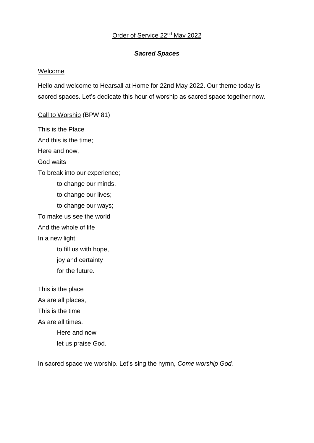# Order of Service 22nd May 2022

# *Sacred Spaces*

### Welcome

Hello and welcome to Hearsall at Home for 22nd May 2022. Our theme today is sacred spaces. Let's dedicate this hour of worship as sacred space together now.

Call to Worship (BPW 81)

This is the Place And this is the time; Here and now, God waits To break into our experience; to change our minds, to change our lives; to change our ways; To make us see the world And the whole of life In a new light; to fill us with hope, joy and certainty for the future. This is the place As are all places, This is the time

As are all times.

Here and now

let us praise God.

In sacred space we worship. Let's sing the hymn, *Come worship God.*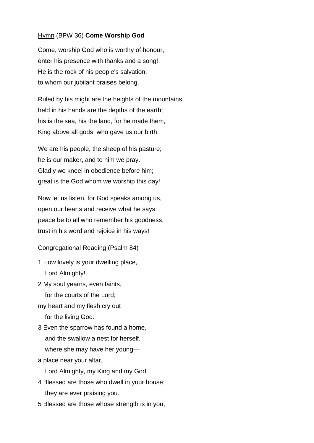### Hymn (BPW 36) **Come Worship God**

Come, worship God who is worthy of honour, enter his presence with thanks and a song! He is the rock of his people's salvation, to whom our jubilant praises belong.

Ruled by his might are the heights of the mountains, held in his hands are the depths of the earth; his is the sea, his the land, for he made them, King above all gods, who gave us our birth.

We are his people, the sheep of his pasture; he is our maker, and to him we pray. Gladly we kneel in obedience before him; great is the God whom we worship this day!

Now let us listen, for God speaks among us, open our hearts and receive what he says: peace be to all who remember his goodness, trust in his word and rejoice in his ways!

#### Congregational Reading (Psalm 84)

- 1 How lovely is your dwelling place, Lord Almighty!
- 2 My soul yearns, even faints, for the courts of the Lord;
- my heart and my flesh cry out for the living God.
- 3 Even the sparrow has found a home, and the swallow a nest for herself, where she may have her young—
- a place near your altar, Lord Almighty, my King and my God.
- 4 Blessed are those who dwell in your house; they are ever praising you.
- 5 Blessed are those whose strength is in you,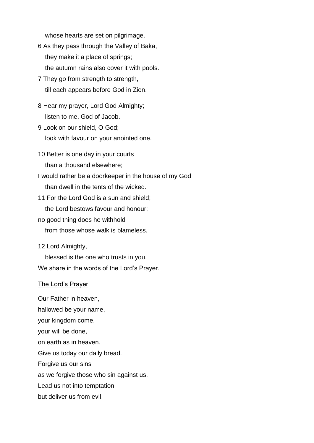whose hearts are set on pilgrimage.

- 6 As they pass through the Valley of Baka, they make it a place of springs; the autumn rains also cover it with pools.
- 7 They go from strength to strength, till each appears before God in Zion.
- 8 Hear my prayer, Lord God Almighty; listen to me, God of Jacob.
- 9 Look on our shield, O God; look with favour on your anointed one.
- 10 Better is one day in your courts than a thousand elsewhere;
- I would rather be a doorkeeper in the house of my God than dwell in the tents of the wicked.
- 11 For the Lord God is a sun and shield; the Lord bestows favour and honour;
- no good thing does he withhold

from those whose walk is blameless.

12 Lord Almighty,

 blessed is the one who trusts in you. We share in the words of the Lord's Prayer.

#### The Lord's Prayer

Our Father in heaven, hallowed be your name, your kingdom come, your will be done, on earth as in heaven. Give us today our daily bread. Forgive us our sins as we forgive those who sin against us. Lead us not into temptation but deliver us from evil.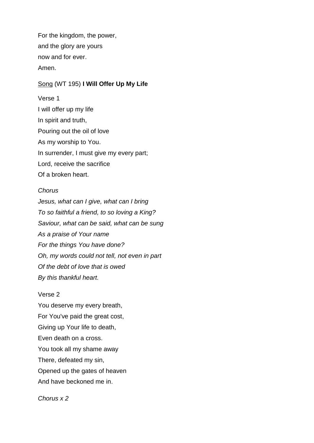For the kingdom, the power, and the glory are yours now and for ever. Amen.

# Song (WT 195) **I Will Offer Up My Life**

Verse 1 I will offer up my life In spirit and truth, Pouring out the oil of love As my worship to You. In surrender, I must give my every part; Lord, receive the sacrifice Of a broken heart.

#### *Chorus*

*Jesus, what can I give, what can I bring To so faithful a friend, to so loving a King? Saviour, what can be said, what can be sung As a praise of Your name For the things You have done? Oh, my words could not tell, not even in part Of the debt of love that is owed By this thankful heart.*

#### Verse 2

You deserve my every breath, For You've paid the great cost, Giving up Your life to death, Even death on a cross. You took all my shame away There, defeated my sin, Opened up the gates of heaven And have beckoned me in.

*Chorus x 2*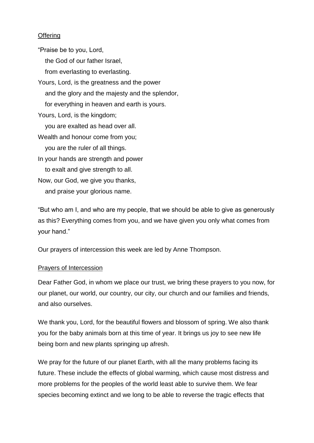# **Offering**

"Praise be to you, Lord,

the God of our father Israel,

from everlasting to everlasting.

Yours, Lord, is the greatness and the power and the glory and the majesty and the splendor, for everything in heaven and earth is yours.

Yours, Lord, is the kingdom;

you are exalted as head over all.

Wealth and honour come from you;

you are the ruler of all things.

In your hands are strength and power

to exalt and give strength to all.

Now, our God, we give you thanks,

and praise your glorious name.

"But who am I, and who are my people, that we should be able to give as generously as this? Everything comes from you, and we have given you only what comes from your hand."

Our prayers of intercession this week are led by Anne Thompson.

## Prayers of Intercession

Dear Father God, in whom we place our trust, we bring these prayers to you now, for our planet, our world, our country, our city, our church and our families and friends, and also ourselves.

We thank you, Lord, for the beautiful flowers and blossom of spring. We also thank you for the baby animals born at this time of year. It brings us joy to see new life being born and new plants springing up afresh.

We pray for the future of our planet Earth, with all the many problems facing its future. These include the effects of global warming, which cause most distress and more problems for the peoples of the world least able to survive them. We fear species becoming extinct and we long to be able to reverse the tragic effects that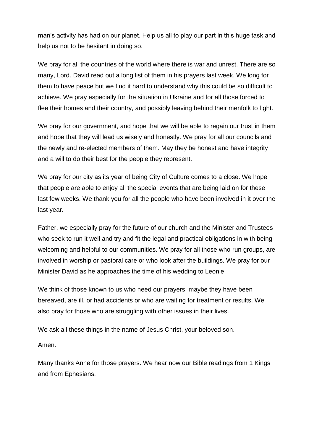man's activity has had on our planet. Help us all to play our part in this huge task and help us not to be hesitant in doing so.

We pray for all the countries of the world where there is war and unrest. There are so many, Lord. David read out a long list of them in his prayers last week. We long for them to have peace but we find it hard to understand why this could be so difficult to achieve. We pray especially for the situation in Ukraine and for all those forced to flee their homes and their country, and possibly leaving behind their menfolk to fight.

We pray for our government, and hope that we will be able to regain our trust in them and hope that they will lead us wisely and honestly. We pray for all our councils and the newly and re-elected members of them. May they be honest and have integrity and a will to do their best for the people they represent.

We pray for our city as its year of being City of Culture comes to a close. We hope that people are able to enjoy all the special events that are being laid on for these last few weeks. We thank you for all the people who have been involved in it over the last year.

Father, we especially pray for the future of our church and the Minister and Trustees who seek to run it well and try and fit the legal and practical obligations in with being welcoming and helpful to our communities. We pray for all those who run groups, are involved in worship or pastoral care or who look after the buildings. We pray for our Minister David as he approaches the time of his wedding to Leonie.

We think of those known to us who need our prayers, maybe they have been bereaved, are ill, or had accidents or who are waiting for treatment or results. We also pray for those who are struggling with other issues in their lives.

We ask all these things in the name of Jesus Christ, your beloved son.

Amen.

Many thanks Anne for those prayers. We hear now our Bible readings from 1 Kings and from Ephesians.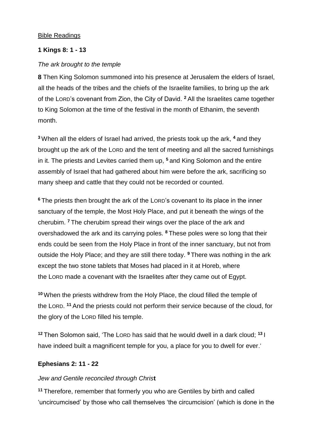## Bible Readings

# **1 Kings 8: 1 - 13**

# *The ark brought to the temple*

**8** Then King Solomon summoned into his presence at Jerusalem the elders of Israel, all the heads of the tribes and the chiefs of the Israelite families, to bring up the ark of the LORD's covenant from Zion, the City of David. **<sup>2</sup>** All the Israelites came together to King Solomon at the time of the festival in the month of Ethanim, the seventh month.

**<sup>3</sup>** When all the elders of Israel had arrived, the priests took up the ark, **<sup>4</sup>** and they brought up the ark of the LORD and the tent of meeting and all the sacred furnishings in it. The priests and Levites carried them up, **<sup>5</sup>** and King Solomon and the entire assembly of Israel that had gathered about him were before the ark, sacrificing so many sheep and cattle that they could not be recorded or counted.

**<sup>6</sup>** The priests then brought the ark of the LORD's covenant to its place in the inner sanctuary of the temple, the Most Holy Place, and put it beneath the wings of the cherubim. **<sup>7</sup>** The cherubim spread their wings over the place of the ark and overshadowed the ark and its carrying poles. **<sup>8</sup>** These poles were so long that their ends could be seen from the Holy Place in front of the inner sanctuary, but not from outside the Holy Place; and they are still there today. **<sup>9</sup>** There was nothing in the ark except the two stone tablets that Moses had placed in it at Horeb, where the LORD made a covenant with the Israelites after they came out of Egypt.

**<sup>10</sup>** When the priests withdrew from the Holy Place, the cloud filled the temple of the LORD. **<sup>11</sup>** And the priests could not perform their service because of the cloud, for the glory of the LORD filled his temple.

**<sup>12</sup>** Then Solomon said, 'The LORD has said that he would dwell in a dark cloud; **<sup>13</sup>** I have indeed built a magnificent temple for you, a place for you to dwell for ever.'

# **Ephesians 2: 11 - 22**

## *Jew and Gentile reconciled through Chris***t**

**<sup>11</sup>** Therefore, remember that formerly you who are Gentiles by birth and called 'uncircumcised' by those who call themselves 'the circumcision' (which is done in the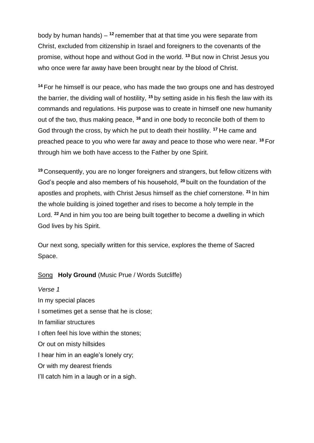body by human hands) – **<sup>12</sup>** remember that at that time you were separate from Christ, excluded from citizenship in Israel and foreigners to the covenants of the promise, without hope and without God in the world. **<sup>13</sup>** But now in Christ Jesus you who once were far away have been brought near by the blood of Christ.

**<sup>14</sup>** For he himself is our peace, who has made the two groups one and has destroyed the barrier, the dividing wall of hostility, **<sup>15</sup>** by setting aside in his flesh the law with its commands and regulations. His purpose was to create in himself one new humanity out of the two, thus making peace, **<sup>16</sup>** and in one body to reconcile both of them to God through the cross, by which he put to death their hostility. **<sup>17</sup>** He came and preached peace to you who were far away and peace to those who were near. **<sup>18</sup>** For through him we both have access to the Father by one Spirit.

**<sup>19</sup>** Consequently, you are no longer foreigners and strangers, but fellow citizens with God's people and also members of his household, **<sup>20</sup>** built on the foundation of the apostles and prophets, with Christ Jesus himself as the chief cornerstone. **<sup>21</sup>** In him the whole building is joined together and rises to become a holy temple in the Lord. **<sup>22</sup>** And in him you too are being built together to become a dwelling in which God lives by his Spirit.

Our next song, specially written for this service, explores the theme of Sacred Space.

## Song **Holy Ground** (Music Prue / Words Sutcliffe)

*Verse 1* In my special places I sometimes get a sense that he is close; In familiar structures I often feel his love within the stones; Or out on misty hillsides I hear him in an eagle's lonely cry; Or with my dearest friends I'll catch him in a laugh or in a sigh.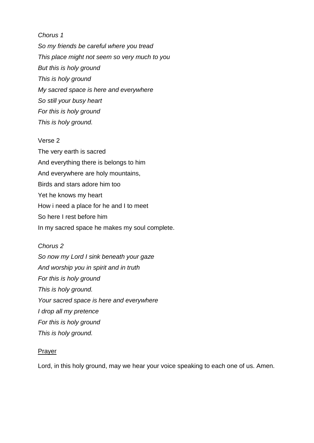*Chorus 1 So my friends be careful where you tread This place might not seem so very much to you But this is holy ground This is holy ground My sacred space is here and everywhere So still your busy heart For this is holy ground This is holy ground.*

#### Verse 2

The very earth is sacred And everything there is belongs to him And everywhere are holy mountains, Birds and stars adore him too Yet he knows my heart How i need a place for he and I to meet So here I rest before him In my sacred space he makes my soul complete.

## *Chorus 2*

*So now my Lord I sink beneath your gaze And worship you in spirit and in truth For this is holy ground This is holy ground. Your sacred space is here and everywhere I drop all my pretence For this is holy ground This is holy ground.*

#### Prayer

Lord, in this holy ground, may we hear your voice speaking to each one of us. Amen.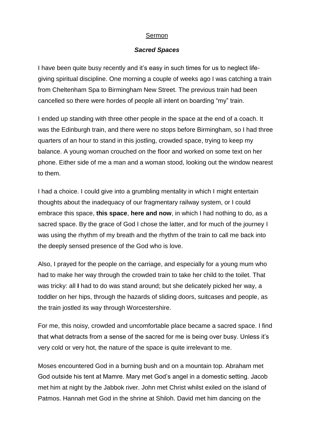# Sermon

# *Sacred Spaces*

I have been quite busy recently and it's easy in such times for us to neglect lifegiving spiritual discipline. One morning a couple of weeks ago I was catching a train from Cheltenham Spa to Birmingham New Street. The previous train had been cancelled so there were hordes of people all intent on boarding "my" train.

I ended up standing with three other people in the space at the end of a coach. It was the Edinburgh train, and there were no stops before Birmingham, so I had three quarters of an hour to stand in this jostling, crowded space, trying to keep my balance. A young woman crouched on the floor and worked on some text on her phone. Either side of me a man and a woman stood, looking out the window nearest to them.

I had a choice. I could give into a grumbling mentality in which I might entertain thoughts about the inadequacy of our fragmentary railway system, or I could embrace this space, **this space**, **here and now**, in which I had nothing to do, as a sacred space. By the grace of God I chose the latter, and for much of the journey I was using the rhythm of my breath and the rhythm of the train to call me back into the deeply sensed presence of the God who is love.

Also, I prayed for the people on the carriage, and especially for a young mum who had to make her way through the crowded train to take her child to the toilet. That was tricky: all **I** had to do was stand around; but she delicately picked her way, a toddler on her hips, through the hazards of sliding doors, suitcases and people, as the train jostled its way through Worcestershire.

For me, this noisy, crowded and uncomfortable place became a sacred space. I find that what detracts from a sense of the sacred for me is being over busy. Unless it's very cold or very hot, the nature of the space is quite irrelevant to me.

Moses encountered God in a burning bush and on a mountain top. Abraham met God outside his tent at Mamre. Mary met God's angel in a domestic setting. Jacob met him at night by the Jabbok river. John met Christ whilst exiled on the island of Patmos. Hannah met God in the shrine at Shiloh. David met him dancing on the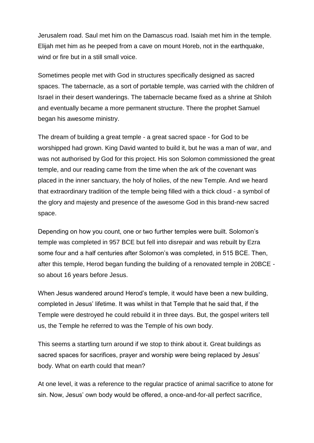Jerusalem road. Saul met him on the Damascus road. Isaiah met him in the temple. Elijah met him as he peeped from a cave on mount Horeb, not in the earthquake, wind or fire but in a still small voice.

Sometimes people met with God in structures specifically designed as sacred spaces. The tabernacle, as a sort of portable temple, was carried with the children of Israel in their desert wanderings. The tabernacle became fixed as a shrine at Shiloh and eventually became a more permanent structure. There the prophet Samuel began his awesome ministry.

The dream of building a great temple - a great sacred space - for God to be worshipped had grown. King David wanted to build it, but he was a man of war, and was not authorised by God for this project. His son Solomon commissioned the great temple, and our reading came from the time when the ark of the covenant was placed in the inner sanctuary, the holy of holies, of the new Temple. And we heard that extraordinary tradition of the temple being filled with a thick cloud - a symbol of the glory and majesty and presence of the awesome God in this brand-new sacred space.

Depending on how you count, one or two further temples were built. Solomon's temple was completed in 957 BCE but fell into disrepair and was rebuilt by Ezra some four and a half centuries after Solomon's was completed, in 515 BCE. Then, after this temple, Herod began funding the building of a renovated temple in 20BCE so about 16 years before Jesus.

When Jesus wandered around Herod's temple, it would have been a new building, completed in Jesus' lifetime. It was whilst in that Temple that he said that, if the Temple were destroyed he could rebuild it in three days. But, the gospel writers tell us, the Temple he referred to was the Temple of his own body.

This seems a startling turn around if we stop to think about it. Great buildings as sacred spaces for sacrifices, prayer and worship were being replaced by Jesus' body. What on earth could that mean?

At one level, it was a reference to the regular practice of animal sacrifice to atone for sin. Now, Jesus' own body would be offered, a once-and-for-all perfect sacrifice,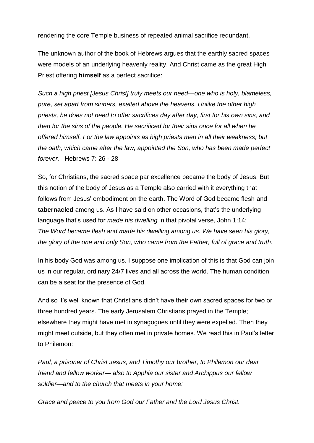rendering the core Temple business of repeated animal sacrifice redundant.

The unknown author of the book of Hebrews argues that the earthly sacred spaces were models of an underlying heavenly reality. And Christ came as the great High Priest offering **himself** as a perfect sacrifice:

*Such a high priest [Jesus Christ] truly meets our need—one who is holy, blameless, pure, set apart from sinners, exalted above the heavens. Unlike the other high priests, he does not need to offer sacrifices day after day, first for his own sins, and then for the sins of the people. He sacrificed for their sins once for all when he offered himself. For the law appoints as high priests men in all their weakness; but the oath, which came after the law, appointed the Son, who has been made perfect forever.* Hebrews 7: 26 - 28

So, for Christians, the sacred space par excellence became the body of Jesus. But this notion of the body of Jesus as a Temple also carried with it everything that follows from Jesus' embodiment on the earth. The Word of God became flesh and **tabernacled** among us. As I have said on other occasions, that's the underlying language that's used for *made his dwelling* in that pivotal verse, John 1:14: *The Word became flesh and made his dwelling among us. We have seen his glory, the glory of the one and only Son, who came from the Father, full of grace and truth.*

In his body God was among us. I suppose one implication of this is that God can join us in our regular, ordinary 24/7 lives and all across the world. The human condition can be a seat for the presence of God.

And so it's well known that Christians didn't have their own sacred spaces for two or three hundred years. The early Jerusalem Christians prayed in the Temple; elsewhere they might have met in synagogues until they were expelled. Then they might meet outside, but they often met in private homes. We read this in Paul's letter to Philemon:

*Paul, a prisoner of Christ Jesus, and Timothy our brother, to Philemon our dear friend and fellow worker— also to Apphia our sister and Archippus our fellow soldier—and to the church that meets in your home:*

*Grace and peace to you from God our Father and the Lord Jesus Christ.*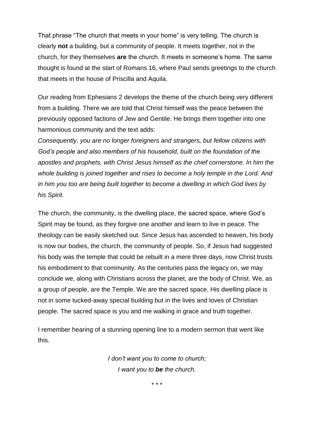That phrase "The church that meets in your home" is very telling. The church is clearly **not** a building, but a community of people. It meets together, not in the church, for they themselves **are** the church. It meets in someone's home. The same thought is found at the start of Romans 16, where Paul sends greetings to the church that meets in the house of Priscilla and Aquila.

Our reading from Ephesians 2 develops the theme of the church being very different from a building. There we are told that Christ himself was the peace between the previously opposed factions of Jew and Gentile. He brings them together into one harmonious community and the text adds:

*Consequently, you are no longer foreigners and strangers, but fellow citizens with God's people and also members of his household, built on the foundation of the apostles and prophets, with Christ Jesus himself as the chief cornerstone. In him the whole building is joined together and rises to become a holy temple in the Lord. And in him you too are being built together to become a dwelling in which God lives by his Spirit.*

The church, the community, is the dwelling place, the sacred space, where God's Spirit may be found, as they forgive one another and learn to live in peace. The theology can be easily sketched out. Since Jesus has ascended to heaven, his body is now our bodies, the church, the community of people. So, if Jesus had suggested his body was the temple that could be rebuilt in a mere three days, now Christ trusts his embodiment to that community. As the centuries pass the legacy on, we may conclude we, along with Christians across the planet, are the body of Christ. We, as a group of people, are the Temple. We are the sacred space. His dwelling place is not in some tucked-away special building but in the lives and loves of Christian people. The sacred space is you and me walking in grace and truth together.

I remember hearing of a stunning opening line to a modern sermon that went like this.

> *I don't want you to come to church; I want you to be the church.*

> > \* \* \*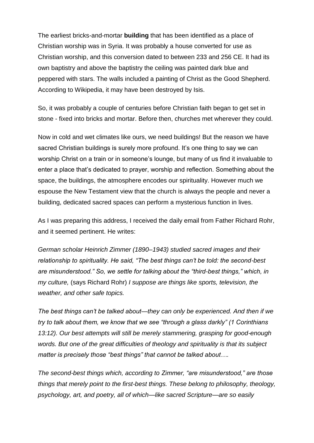The earliest bricks-and-mortar **building** that has been identified as a place of Christian worship was in Syria. It was probably a house converted for use as Christian worship, and this conversion dated to between 233 and 256 CE. It had its own baptistry and above the baptistry the ceiling was painted dark blue and peppered with stars. The walls included a painting of Christ as the Good Shepherd. According to Wikipedia, it may have been destroyed by Isis.

So, it was probably a couple of centuries before Christian faith began to get set in stone - fixed into bricks and mortar. Before then, churches met wherever they could.

Now in cold and wet climates like ours, we need buildings! But the reason we have sacred Christian buildings is surely more profound. It's one thing to say we can worship Christ on a train or in someone's lounge, but many of us find it invaluable to enter a place that's dedicated to prayer, worship and reflection. Something about the space, the buildings, the atmosphere encodes our spirituality. However much we espouse the New Testament view that the church is always the people and never a building, dedicated sacred spaces can perform a mysterious function in lives.

As I was preparing this address, I received the daily email from Father Richard Rohr, and it seemed pertinent. He writes:

*German scholar Heinrich Zimmer (1890–1943) studied sacred images and their relationship to spirituality. He said, "The best things can't be told: the second-best are misunderstood." So, we settle for talking about the "third-best things," which, in my culture,* (says Richard Rohr) *I suppose are things like sports, television, the weather, and other safe topics.*

*The best things can't be talked about—they can only be experienced. And then if we try to talk about them, we know that we see "through a glass darkly" (1 Corinthians 13:12). Our best attempts will still be merely stammering, grasping for good-enough words. But one of the great difficulties of theology and spirituality is that its subject matter is precisely those "best things" that cannot be talked about….*

*The second-best things which, according to Zimmer, "are misunderstood," are those things that merely point to the first-best things. These belong to philosophy, theology, psychology, art, and poetry, all of which—like sacred Scripture—are so easily*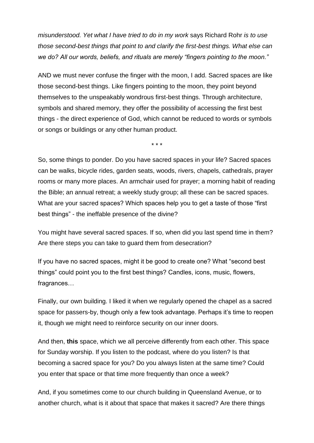*misunderstood. Yet what I have tried to do in my work* says Richard Rohr *is to use those second-best things that point to and clarify the first-best things. What else can we do? All our words, beliefs, and rituals are merely "fingers pointing to the moon."*

AND we must never confuse the finger with the moon, I add. Sacred spaces are like those second-best things. Like fingers pointing to the moon, they point beyond themselves to the unspeakably wondrous first-best things. Through architecture, symbols and shared memory, they offer the possibility of accessing the first best things - the direct experience of God, which cannot be reduced to words or symbols or songs or buildings or any other human product.

\* \* \*

So, some things to ponder. Do you have sacred spaces in your life? Sacred spaces can be walks, bicycle rides, garden seats, woods, rivers, chapels, cathedrals, prayer rooms or many more places. An armchair used for prayer; a morning habit of reading the Bible; an annual retreat; a weekly study group; all these can be sacred spaces. What are your sacred spaces? Which spaces help you to get a taste of those "first best things" - the ineffable presence of the divine?

You might have several sacred spaces. If so, when did you last spend time in them? Are there steps you can take to guard them from desecration?

If you have no sacred spaces, might it be good to create one? What "second best things" could point you to the first best things? Candles, icons, music, flowers, fragrances…

Finally, our own building. I liked it when we regularly opened the chapel as a sacred space for passers-by, though only a few took advantage. Perhaps it's time to reopen it, though we might need to reinforce security on our inner doors.

And then, **this** space, which we all perceive differently from each other. This space for Sunday worship. If you listen to the podcast, where do you listen? Is that becoming a sacred space for you? Do you always listen at the same time? Could you enter that space or that time more frequently than once a week?

And, if you sometimes come to our church building in Queensland Avenue, or to another church, what is it about that space that makes it sacred? Are there things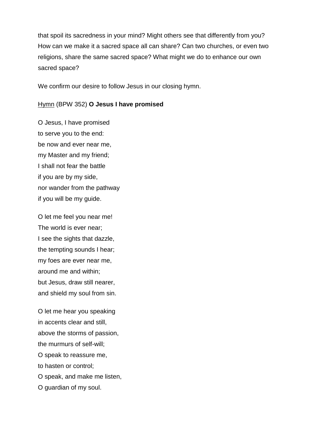that spoil its sacredness in your mind? Might others see that differently from you? How can we make it a sacred space all can share? Can two churches, or even two religions, share the same sacred space? What might we do to enhance our own sacred space?

We confirm our desire to follow Jesus in our closing hymn.

# Hymn (BPW 352) **O Jesus I have promised**

O Jesus, I have promised to serve you to the end: be now and ever near me, my Master and my friend; I shall not fear the battle if you are by my side, nor wander from the pathway if you will be my guide.

O let me feel you near me! The world is ever near; I see the sights that dazzle, the tempting sounds I hear; my foes are ever near me, around me and within; but Jesus, draw still nearer, and shield my soul from sin.

O let me hear you speaking in accents clear and still, above the storms of passion, the murmurs of self-will; O speak to reassure me, to hasten or control; O speak, and make me listen, O guardian of my soul.